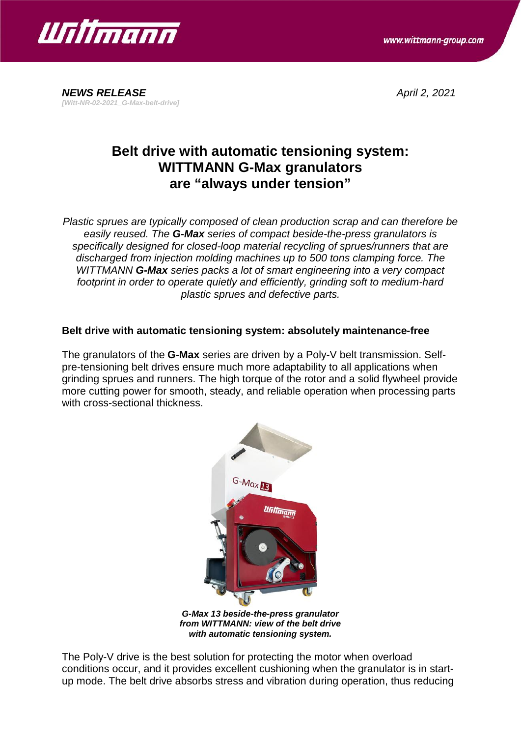



*NEWS RELEASE April 2, 2021 [Witt-NR-02-2021\_G-Max-belt-drive]*

## **Belt drive with automatic tensioning system: WITTMANN G-Max granulators are "always under tension"**

*Plastic sprues are typically composed of clean production scrap and can therefore be easily reused. The G-Max series of compact beside-the-press granulators is specifically designed for closed-loop material recycling of sprues/runners that are discharged from injection molding machines up to 500 tons clamping force. The WITTMANN G-Max series packs a lot of smart engineering into a very compact footprint in order to operate quietly and efficiently, grinding soft to medium-hard plastic sprues and defective parts.*

## **Belt drive with automatic tensioning system: absolutely maintenance-free**

The granulators of the **G-Max** series are driven by a Poly-V belt transmission. Selfpre-tensioning belt drives ensure much more adaptability to all applications when grinding sprues and runners. The high torque of the rotor and a solid flywheel provide more cutting power for smooth, steady, and reliable operation when processing parts with cross-sectional thickness.



*G-Max 13 beside-the-press granulator from WITTMANN: view of the belt drive with automatic tensioning system.*

The Poly-V drive is the best solution for protecting the motor when overload conditions occur, and it provides excellent cushioning when the granulator is in startup mode. The belt drive absorbs stress and vibration during operation, thus reducing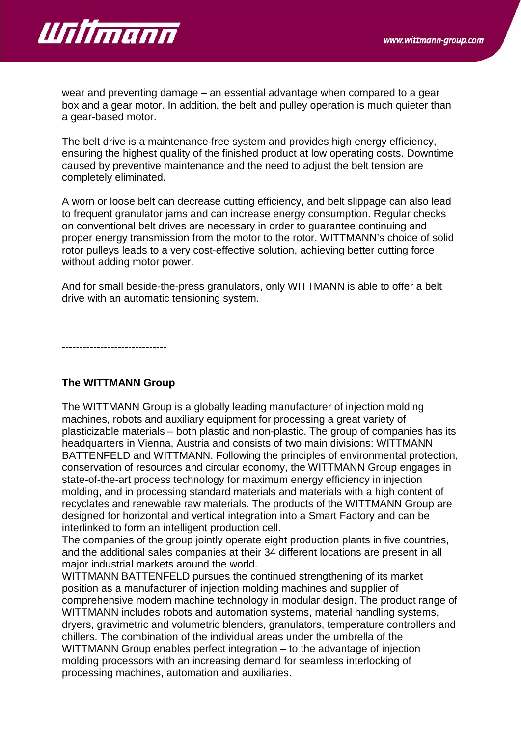

wear and preventing damage – an essential advantage when compared to a gear box and a gear motor. In addition, the belt and pulley operation is much quieter than a gear-based motor.

The belt drive is a maintenance-free system and provides high energy efficiency, ensuring the highest quality of the finished product at low operating costs. Downtime caused by preventive maintenance and the need to adjust the belt tension are completely eliminated.

A worn or loose belt can decrease cutting efficiency, and belt slippage can also lead to frequent granulator jams and can increase energy consumption. Regular checks on conventional belt drives are necessary in order to guarantee continuing and proper energy transmission from the motor to the rotor. WITTMANN's choice of solid rotor pulleys leads to a very cost-effective solution, achieving better cutting force without adding motor power.

And for small beside-the-press granulators, only WITTMANN is able to offer a belt drive with an automatic tensioning system.

------------------------------

## **The WITTMANN Group**

The WITTMANN Group is a globally leading manufacturer of injection molding machines, robots and auxiliary equipment for processing a great variety of plasticizable materials – both plastic and non-plastic. The group of companies has its headquarters in Vienna, Austria and consists of two main divisions: WITTMANN BATTENFELD and WITTMANN. Following the principles of environmental protection, conservation of resources and circular economy, the WITTMANN Group engages in state-of-the-art process technology for maximum energy efficiency in injection molding, and in processing standard materials and materials with a high content of recyclates and renewable raw materials. The products of the WITTMANN Group are designed for horizontal and vertical integration into a Smart Factory and can be interlinked to form an intelligent production cell.

The companies of the group jointly operate eight production plants in five countries, and the additional sales companies at their 34 different locations are present in all major industrial markets around the world.

WITTMANN BATTENFELD pursues the continued strengthening of its market position as a manufacturer of injection molding machines and supplier of comprehensive modern machine technology in modular design. The product range of WITTMANN includes robots and automation systems, material handling systems, dryers, gravimetric and volumetric blenders, granulators, temperature controllers and chillers. The combination of the individual areas under the umbrella of the WITTMANN Group enables perfect integration – to the advantage of injection molding processors with an increasing demand for seamless interlocking of processing machines, automation and auxiliaries.